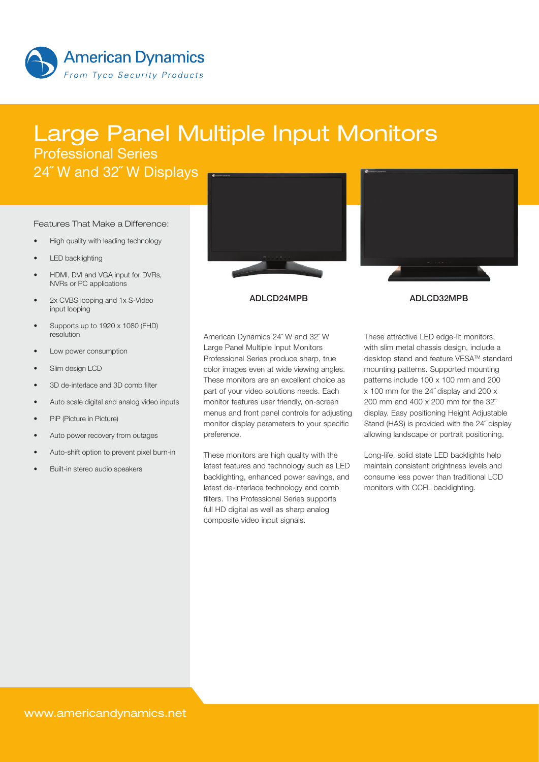

# Large Panel Multiple Input Monitors Professional Series

24˝ W and 32˝ W Displays

#### Features That Make a Difference:

- High quality with leading technology
- **LED** backlighting
- HDMI, DVI and VGA input for DVRs, NVRs or PC applications
- 2x CVBS looping and 1x S-Video input looping
- Supports up to 1920 x 1080 (FHD) resolution
- Low power consumption
- Slim design LCD
- 3D de-interlace and 3D comb filter
- Auto scale digital and analog video inputs
- PiP (Picture in Picture)
- Auto power recovery from outages
- Auto-shift option to prevent pixel burn-in
- Built-in stereo audio speakers





#### ADLCD24MPB ADLCD32MPB

American Dynamics 24˝ W and 32˝ W Large Panel Multiple Input Monitors Professional Series produce sharp, true color images even at wide viewing angles. These monitors are an excellent choice as part of your video solutions needs. Each monitor features user friendly, on-screen menus and front panel controls for adjusting monitor display parameters to your specific preference.

These monitors are high quality with the latest features and technology such as LED backlighting, enhanced power savings, and latest de-interlace technology and comb filters. The Professional Series supports full HD digital as well as sharp analog composite video input signals.

These attractive LED edge-lit monitors, with slim metal chassis design, include a desktop stand and feature VESA™ standard mounting patterns. Supported mounting patterns include 100 x 100 mm and 200 x 100 mm for the 24˝ display and 200 x 200 mm and 400 x 200 mm for the 32˝ display. Easy positioning Height Adjustable Stand (HAS) is provided with the 24˝ display allowing landscape or portrait positioning.

Long-life, solid state LED backlights help maintain consistent brightness levels and consume less power than traditional LCD monitors with CCFL backlighting.